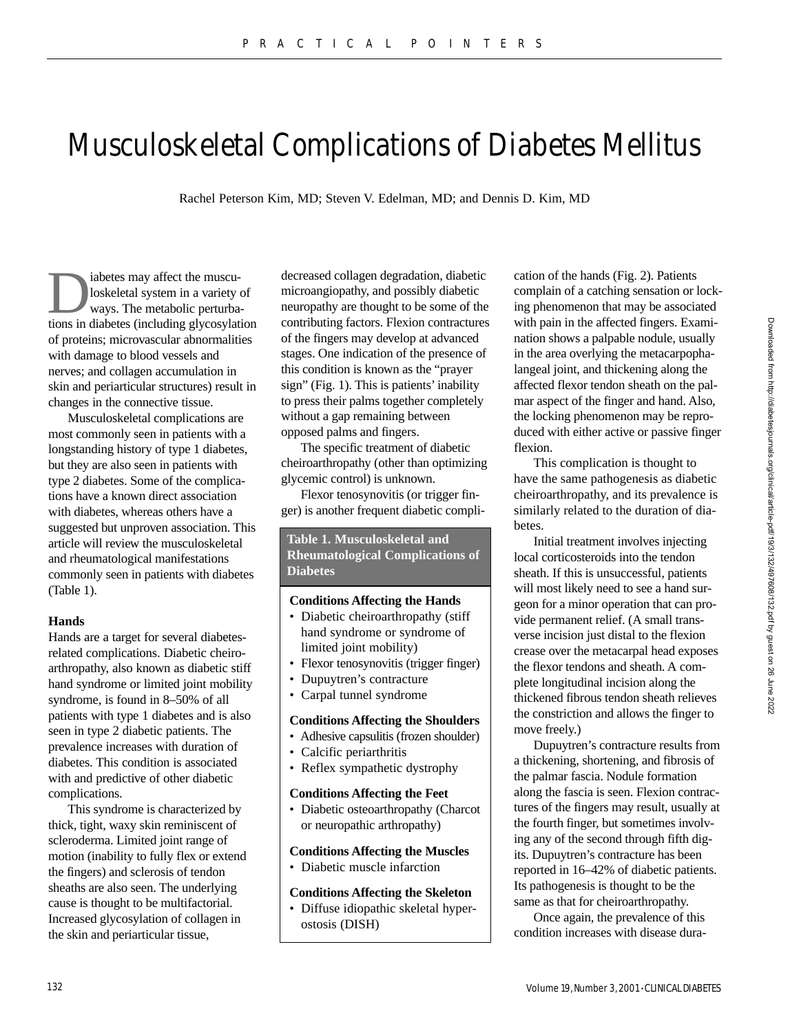# Musculoskeletal Complications of Diabetes Mellitus

Rachel Peterson Kim, MD; Steven V. Edelman, MD; and Dennis D. Kim, MD

abetes may affect the musculoskeletal system in a variety<br>ways. The metabolic perturbations in diabetes (including always) loskeletal system in a variety of ways. The metabolic perturbations in diabetes (including glycosylation of proteins; microvascular abnormalities with damage to blood vessels and nerves; and collagen accumulation in skin and periarticular structures) result in changes in the connective tissue.

Musculoskeletal complications are most commonly seen in patients with a longstanding history of type 1 diabetes, but they are also seen in patients with type 2 diabetes. Some of the complications have a known direct association with diabetes, whereas others have a suggested but unproven association. This article will review the musculoskeletal and rheumatological manifestations commonly seen in patients with diabetes (Table 1).

# **Hands**

Hands are a target for several diabetesrelated complications. Diabetic cheiroarthropathy, also known as diabetic stiff hand syndrome or limited joint mobility syndrome, is found in 8–50% of all patients with type 1 diabetes and is also seen in type 2 diabetic patients. The prevalence increases with duration of diabetes. This condition is associated with and predictive of other diabetic complications.

This syndrome is characterized by thick, tight, waxy skin reminiscent of scleroderma. Limited joint range of motion (inability to fully flex or extend the fingers) and sclerosis of tendon sheaths are also seen. The underlying cause is thought to be multifactorial. Increased glycosylation of collagen in the skin and periarticular tissue,

decreased collagen degradation, diabetic microangiopathy, and possibly diabetic neuropathy are thought to be some of the contributing factors. Flexion contractures of the fingers may develop at advanced stages. One indication of the presence of this condition is known as the "prayer sign" (Fig. 1). This is patients' inability to press their palms together completely without a gap remaining between opposed palms and fingers.

The specific treatment of diabetic cheiroarthropathy (other than optimizing glycemic control) is unknown.

Flexor tenosynovitis (or trigger finger) is another frequent diabetic compli-

## **Table 1. Musculoskeletal and Rheumatological Complications of Diabetes**

## **Conditions Affecting the Hands**

- Diabetic cheiroarthropathy (stiff hand syndrome or syndrome of limited joint mobility)
- Flexor tenosynovitis (trigger finger)
- Dupuytren's contracture
- Carpal tunnel syndrome

## **Conditions Affecting the Shoulders**

- Adhesive capsulitis (frozen shoulder)
- Calcific periarthritis
- Reflex sympathetic dystrophy

## **Conditions Affecting the Feet**

• Diabetic osteoarthropathy (Charcot or neuropathic arthropathy)

## **Conditions Affecting the Muscles**

• Diabetic muscle infarction

## **Conditions Affecting the Skeleton**

• Diffuse idiopathic skeletal hyperostosis (DISH)

cation of the hands (Fig. 2). Patients complain of a catching sensation or locking phenomenon that may be associated with pain in the affected fingers. Examination shows a palpable nodule, usually in the area overlying the metacarpophalangeal joint, and thickening along the affected flexor tendon sheath on the palmar aspect of the finger and hand. Also, the locking phenomenon may be reproduced with either active or passive finger flexion.

This complication is thought to have the same pathogenesis as diabetic cheiroarthropathy, and its prevalence is similarly related to the duration of diabetes.

Initial treatment involves injecting local corticosteroids into the tendon sheath. If this is unsuccessful, patients will most likely need to see a hand surgeon for a minor operation that can provide permanent relief. (A small transverse incision just distal to the flexion crease over the metacarpal head exposes the flexor tendons and sheath. A complete longitudinal incision along the thickened fibrous tendon sheath relieves the constriction and allows the finger to move freely.)

Dupuytren's contracture results from a thickening, shortening, and fibrosis of the palmar fascia. Nodule formation along the fascia is seen. Flexion contractures of the fingers may result, usually at the fourth finger, but sometimes involving any of the second through fifth digits. Dupuytren's contracture has been reported in 16–42% of diabetic patients. Its pathogenesis is thought to be the same as that for cheiroarthropathy.

Once again, the prevalence of this condition increases with disease dura-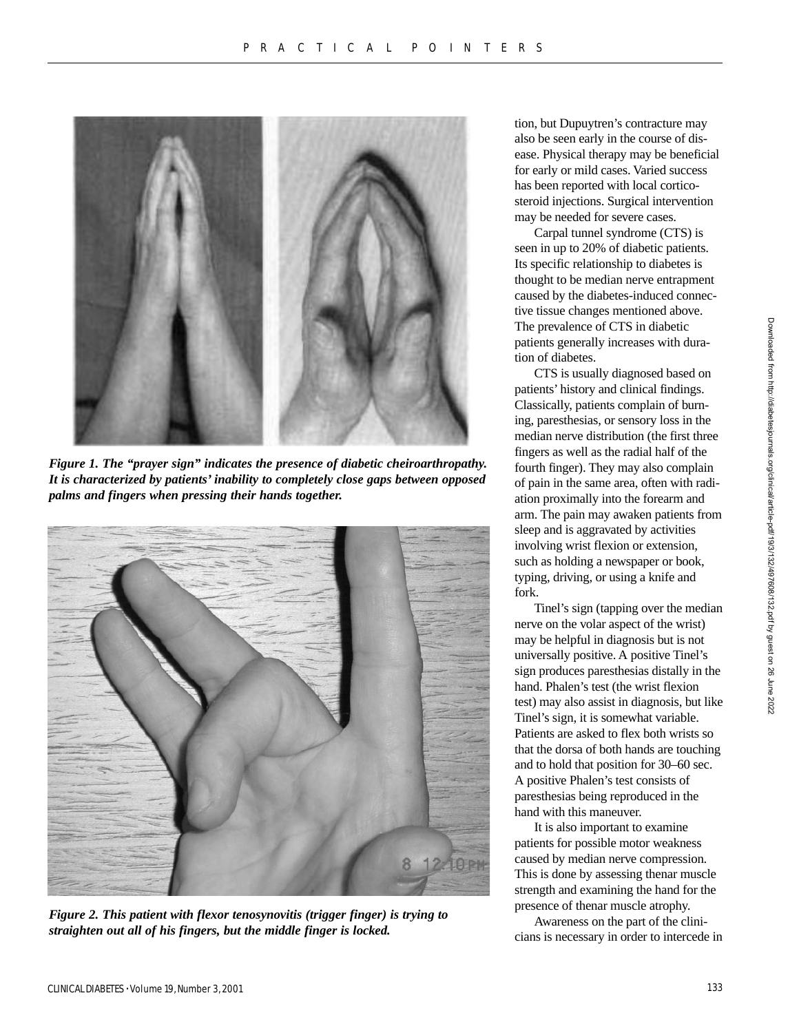

*Figure 1. The "prayer sign" indicates the presence of diabetic cheiroarthropathy. It is characterized by patients' inability to completely close gaps between opposed palms and fingers when pressing their hands together.* 



*Figure 2. This patient with flexor tenosynovitis (trigger finger) is trying to straighten out all of his fingers, but the middle finger is locked.* 

tion, but Dupuytren's contracture may also be seen early in the course of disease. Physical therapy may be beneficial for early or mild cases. Varied success has been reported with local corticosteroid injections. Surgical intervention may be needed for severe cases.

Carpal tunnel syndrome (CTS) is seen in up to 20% of diabetic patients. Its specific relationship to diabetes is thought to be median nerve entrapment caused by the diabetes-induced connective tissue changes mentioned above. The prevalence of CTS in diabetic patients generally increases with duration of diabetes.

CTS is usually diagnosed based on patients' history and clinical findings. Classically, patients complain of burning, paresthesias, or sensory loss in the median nerve distribution (the first three fingers as well as the radial half of the fourth finger). They may also complain of pain in the same area, often with radiation proximally into the forearm and arm. The pain may awaken patients from sleep and is aggravated by activities involving wrist flexion or extension, such as holding a newspaper or book, typing, driving, or using a knife and fork.

Tinel's sign (tapping over the median nerve on the volar aspect of the wrist) may be helpful in diagnosis but is not universally positive. A positive Tinel's sign produces paresthesias distally in the hand. Phalen's test (the wrist flexion test) may also assist in diagnosis, but like Tinel's sign, it is somewhat variable. Patients are asked to flex both wrists so that the dorsa of both hands are touching and to hold that position for 30–60 sec. A positive Phalen's test consists of paresthesias being reproduced in the hand with this maneuver.

It is also important to examine patients for possible motor weakness caused by median nerve compression. This is done by assessing thenar muscle strength and examining the hand for the presence of thenar muscle atrophy.

Awareness on the part of the clinicians is necessary in order to intercede in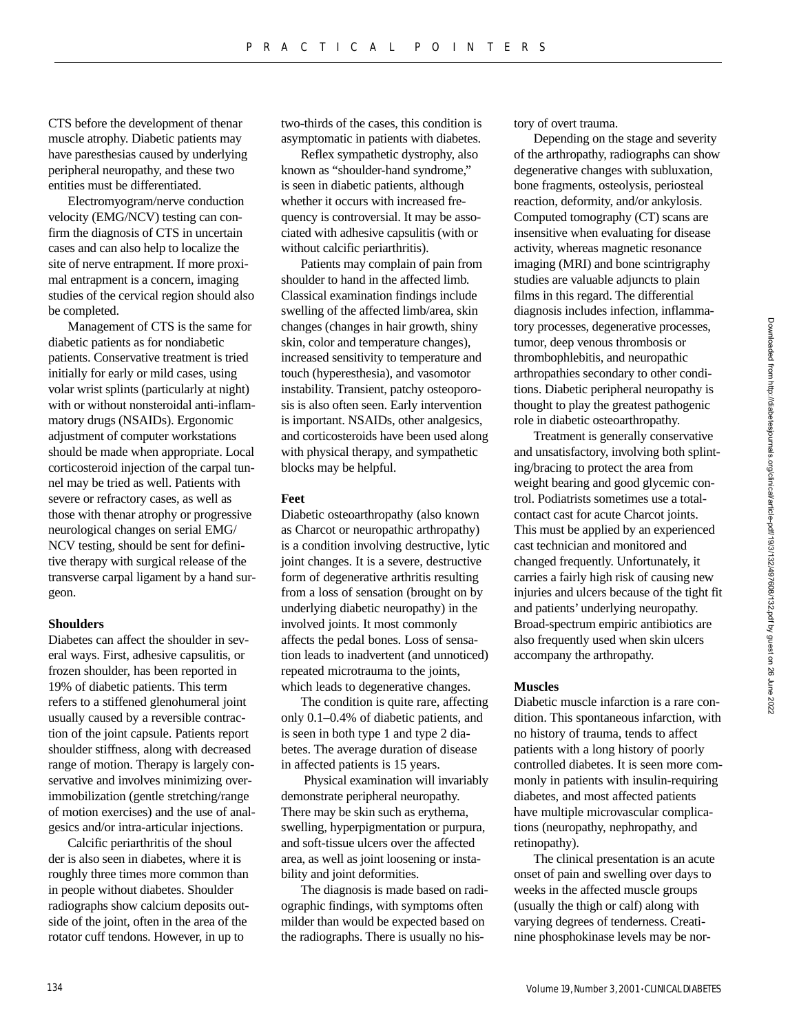CTS before the development of thenar muscle atrophy. Diabetic patients may have paresthesias caused by underlying peripheral neuropathy, and these two entities must be differentiated.

Electromyogram/nerve conduction velocity (EMG/NCV) testing can confirm the diagnosis of CTS in uncertain cases and can also help to localize the site of nerve entrapment. If more proximal entrapment is a concern, imaging studies of the cervical region should also be completed.

Management of CTS is the same for diabetic patients as for nondiabetic patients. Conservative treatment is tried initially for early or mild cases, using volar wrist splints (particularly at night) with or without nonsteroidal anti-inflammatory drugs (NSAIDs). Ergonomic adjustment of computer workstations should be made when appropriate. Local corticosteroid injection of the carpal tunnel may be tried as well. Patients with severe or refractory cases, as well as those with thenar atrophy or progressive neurological changes on serial EMG/ NCV testing, should be sent for definitive therapy with surgical release of the transverse carpal ligament by a hand surgeon.

## **Shoulders**

Diabetes can affect the shoulder in several ways. First, adhesive capsulitis, or frozen shoulder, has been reported in 19% of diabetic patients. This term refers to a stiffened glenohumeral joint usually caused by a reversible contraction of the joint capsule. Patients report shoulder stiffness, along with decreased range of motion. Therapy is largely conservative and involves minimizing overimmobilization (gentle stretching/range of motion exercises) and the use of analgesics and/or intra-articular injections.

Calcific periarthritis of the shoul der is also seen in diabetes, where it is roughly three times more common than in people without diabetes. Shoulder radiographs show calcium deposits outside of the joint, often in the area of the rotator cuff tendons. However, in up to

two-thirds of the cases, this condition is asymptomatic in patients with diabetes.

Reflex sympathetic dystrophy, also known as "shoulder-hand syndrome," is seen in diabetic patients, although whether it occurs with increased frequency is controversial. It may be associated with adhesive capsulitis (with or without calcific periarthritis).

Patients may complain of pain from shoulder to hand in the affected limb. Classical examination findings include swelling of the affected limb/area, skin changes (changes in hair growth, shiny skin, color and temperature changes), increased sensitivity to temperature and touch (hyperesthesia), and vasomotor instability. Transient, patchy osteoporosis is also often seen. Early intervention is important. NSAIDs, other analgesics, and corticosteroids have been used along with physical therapy, and sympathetic blocks may be helpful.

## **Feet**

Diabetic osteoarthropathy (also known as Charcot or neuropathic arthropathy) is a condition involving destructive, lytic joint changes. It is a severe, destructive form of degenerative arthritis resulting from a loss of sensation (brought on by underlying diabetic neuropathy) in the involved joints. It most commonly affects the pedal bones. Loss of sensation leads to inadvertent (and unnoticed) repeated microtrauma to the joints, which leads to degenerative changes.

The condition is quite rare, affecting only 0.1–0.4% of diabetic patients, and is seen in both type 1 and type 2 diabetes. The average duration of disease in affected patients is 15 years.

Physical examination will invariably demonstrate peripheral neuropathy. There may be skin such as erythema, swelling, hyperpigmentation or purpura, and soft-tissue ulcers over the affected area, as well as joint loosening or instability and joint deformities.

The diagnosis is made based on radiographic findings, with symptoms often milder than would be expected based on the radiographs. There is usually no history of overt trauma.

Depending on the stage and severity of the arthropathy, radiographs can show degenerative changes with subluxation, bone fragments, osteolysis, periosteal reaction, deformity, and/or ankylosis. Computed tomography (CT) scans are insensitive when evaluating for disease activity, whereas magnetic resonance imaging (MRI) and bone scintrigraphy studies are valuable adjuncts to plain films in this regard. The differential diagnosis includes infection, inflammatory processes, degenerative processes, tumor, deep venous thrombosis or thrombophlebitis, and neuropathic arthropathies secondary to other conditions. Diabetic peripheral neuropathy is thought to play the greatest pathogenic role in diabetic osteoarthropathy.

Treatment is generally conservative and unsatisfactory, involving both splinting/bracing to protect the area from weight bearing and good glycemic control. Podiatrists sometimes use a totalcontact cast for acute Charcot joints. This must be applied by an experienced cast technician and monitored and changed frequently. Unfortunately, it carries a fairly high risk of causing new injuries and ulcers because of the tight fit and patients' underlying neuropathy. Broad-spectrum empiric antibiotics are also frequently used when skin ulcers accompany the arthropathy.

## **Muscles**

Diabetic muscle infarction is a rare condition. This spontaneous infarction, with no history of trauma, tends to affect patients with a long history of poorly controlled diabetes. It is seen more commonly in patients with insulin-requiring diabetes, and most affected patients have multiple microvascular complications (neuropathy, nephropathy, and retinopathy).

The clinical presentation is an acute onset of pain and swelling over days to weeks in the affected muscle groups (usually the thigh or calf) along with varying degrees of tenderness. Creatinine phosphokinase levels may be nor